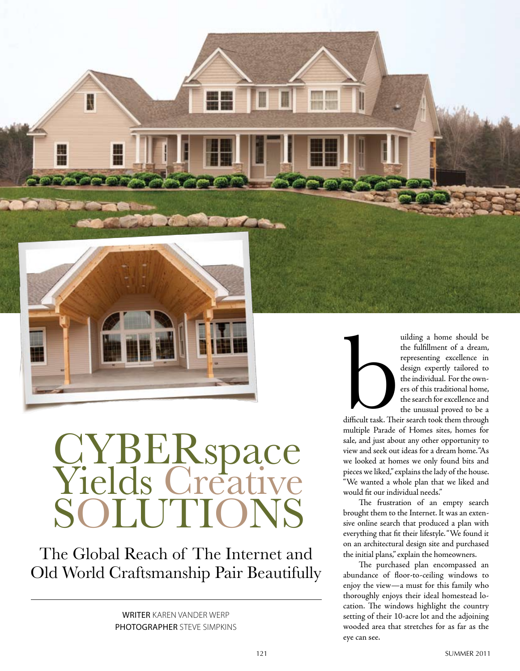

ţ

# CYBERspace<br>Yields Creative SOLUTIONS

The Global Reach of The Internet and Old World Craftsmanship Pair Beautifully

> WRITER Karen Vander Werp PHOTOGRAPHER STEVE SIMPKINS



uilding a home should be the fulfillment of a dream, representing excellence in design expertly tailored to the individual. For the owners of this traditional home, the search for excellence and the unusual proved to be a

difficult task. Their search took them through multiple Parade of Homes sites, homes for sale, and just about any other opportunity to view and seek out ideas for a dream home. "As we looked at homes we only found bits and pieces we liked," explains the lady of the house. "We wanted a whole plan that we liked and would fit our individual needs."

The frustration of an empty search brought them to the Internet. It was an extensive online search that produced a plan with everything that fit their lifestyle. "We found it on an architectural design site and purchased the initial plans," explain the homeowners.

The purchased plan encompassed an abundance of floor-to-ceiling windows to enjoy the view—a must for this family who thoroughly enjoys their ideal homestead location. The windows highlight the country setting of their 10-acre lot and the adjoining wooded area that stretches for as far as the eye can see.

**TH 100**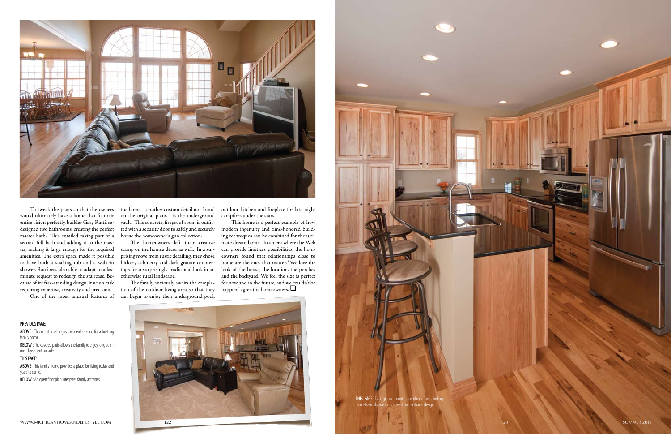





To tweak the plans so that the owners would ultimately have a home that fit their entire vision perfectly, builder Gary Ratti, remaster bath. This entailed taking part of a second full bath and adding it to the master, making it large enough for the required amenities. The extra space made it possible to have both a soaking tub and a walk-in shower. Ratti was also able to adapt to a last minute request to redesign the staircase. Because of its free-standing design, it was a task requiring expertise, creativity and precision.

tops for a surprisingly traditional look in an look of the house, the location, the porches This home is a perfect example of how modern ingenuity and time-honored building techniques can be combined for the ultimate dream home. In an era where the Web can provide limitless possibilities, the homeowners found that relationships close to home are the ones that matter. "We love the and the backyard. We feel the size is perfect for now and in the future, and we couldn't be happier," agree the homeowners.  $\Box$ 

designed two bathrooms, creating the perfect ted with a security door to safely and securely the home—another custom detail not found on the original plans—is the underground vault. This concrete, fireproof room is outfithouse the homeowner's gun collection.

ABOVE : This country setting is the ideal location for a bustling family home.

One of the most unusual features of can begin to enjoy their underground pool, The family anxiously awaits the completion of the outdoor living area so that they

BELOW : The covered patio allows the family to enjoy long summer days spent outside.

The homeowners left their creative stamp on the home's décor as well. In a surprising move from rustic detailing, they chose hickory cabinetry and dark granite counterotherwise rural landscape.

outdoor kitchen and fireplace for late night campfires under the stars.

PREVIOUS PAGE:

#### THIS PAGE:

ABOVE :This family home provides a place for living today and years to come.

BELOW : An open floor plan integrates family activities.

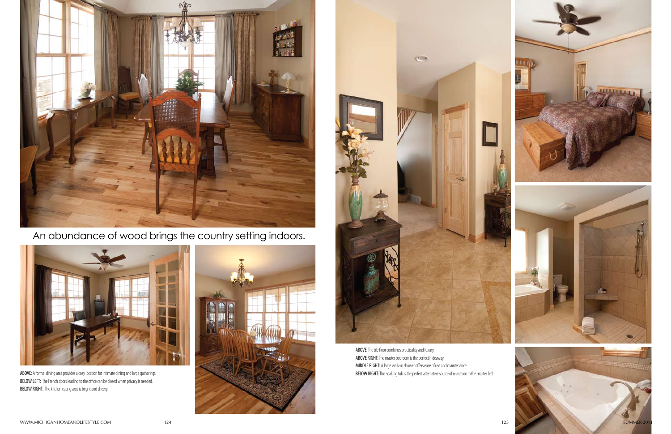

ABOVE:The tile floor combines practicality and luxury. ABOVE RIGHT: The master bedroom is the perfect hideaway. MIDDLE RIGHT: A large walk-in shower offers ease of use and maintenance. ABOVE: A formal dining area provides a cozy location for intimate dining and large gatherings. This soaking the perfect alternative source of relaxation in the master bath.





BELOW LEFT: The French doors leading to the office can be closed when privacy is needed. BELOW RIGHT: The kitchen eating area is bright and cheery.





## An abundance of wood brings the country setting indoors.